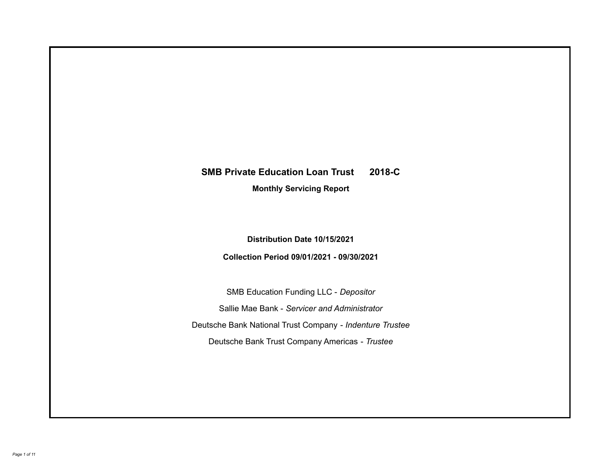# **SMB Private Education Loan Trust 2018-C**

**Monthly Servicing Report**

**Distribution Date 10/15/2021**

**Collection Period 09/01/2021 - 09/30/2021**

SMB Education Funding LLC - *Depositor* Sallie Mae Bank - *Servicer and Administrator* Deutsche Bank National Trust Company - *Indenture Trustee* Deutsche Bank Trust Company Americas - *Trustee*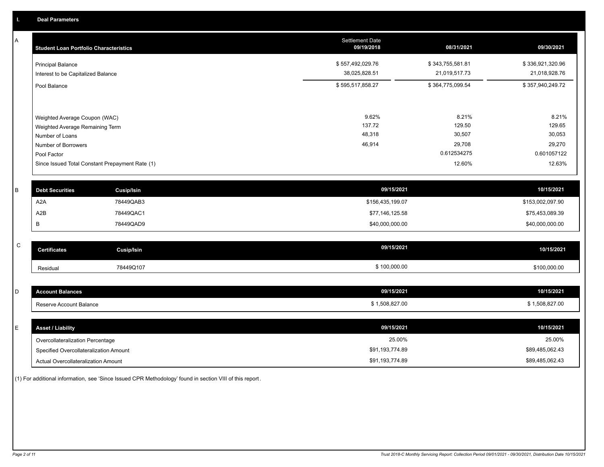A

| A            | <b>Student Loan Portfolio Characteristics</b>   | Settlement Date<br>09/19/2018 | 08/31/2021       | 09/30/2021       |
|--------------|-------------------------------------------------|-------------------------------|------------------|------------------|
|              | <b>Principal Balance</b>                        | \$557,492,029.76              | \$343,755,581.81 | \$336,921,320.96 |
|              | Interest to be Capitalized Balance              | 38,025,828.51                 | 21,019,517.73    | 21,018,928.76    |
|              | Pool Balance                                    | \$595,517,858.27              | \$364,775,099.54 | \$357,940,249.72 |
|              |                                                 |                               |                  |                  |
|              | Weighted Average Coupon (WAC)                   | 9.62%                         | 8.21%            | 8.21%            |
|              | Weighted Average Remaining Term                 | 137.72                        | 129.50           | 129.65           |
|              | Number of Loans                                 | 48,318                        | 30,507           | 30,053           |
|              | Number of Borrowers                             | 46,914                        | 29,708           | 29,270           |
|              | Pool Factor                                     |                               | 0.612534275      | 0.601057122      |
|              | Since Issued Total Constant Prepayment Rate (1) |                               | 12.60%           | 12.63%           |
| B            | <b>Debt Securities</b><br><b>Cusip/Isin</b>     | 09/15/2021                    |                  | 10/15/2021       |
|              | A <sub>2</sub> A<br>78449QAB3                   | \$156,435,199.07              |                  | \$153,002,097.90 |
|              | A2B<br>78449QAC1                                | \$77,146,125.58               |                  | \$75,453,089.39  |
|              |                                                 |                               |                  |                  |
|              | В<br>78449QAD9                                  | \$40,000,000.00               |                  | \$40,000,000.00  |
| $\mathsf{C}$ | <b>Certificates</b><br><b>Cusip/Isin</b>        | 09/15/2021                    |                  | 10/15/2021       |
|              | 78449Q107<br>Residual                           | \$100,000.00                  |                  | \$100,000.00     |
|              |                                                 |                               |                  |                  |
| D            | <b>Account Balances</b>                         | 09/15/2021                    |                  | 10/15/2021       |
|              | Reserve Account Balance                         | \$1,508,827.00                |                  | \$1,508,827.00   |
|              |                                                 |                               |                  |                  |
| E            | <b>Asset / Liability</b>                        | 09/15/2021                    |                  | 10/15/2021       |
|              | Overcollateralization Percentage                | 25.00%                        |                  | 25.00%           |
|              | Specified Overcollateralization Amount          | \$91,193,774.89               |                  | \$89,485,062.43  |

(1) For additional information, see 'Since Issued CPR Methodology' found in section VIII of this report .

Actual Overcollateralization Amount \$91,193,774.89

\$89,485,062.43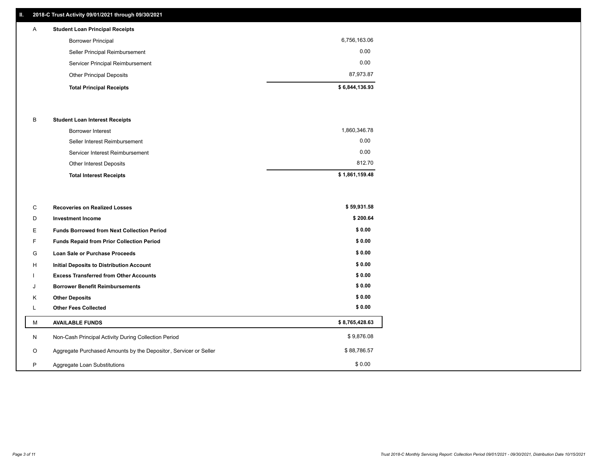# **II. 2018-C Trust Activity 09/01/2021 through 09/30/2021**

| A | <b>Student Loan Principal Receipts</b> |                |
|---|----------------------------------------|----------------|
|   | <b>Borrower Principal</b>              | 6,756,163.06   |
|   | Seller Principal Reimbursement         | 0.00           |
|   | Servicer Principal Reimbursement       | 0.00           |
|   | <b>Other Principal Deposits</b>        | 87,973.87      |
|   | <b>Total Principal Receipts</b>        | \$6,844,136.93 |

#### B **Student Loan Interest Receipts**

| <b>Total Interest Receipts</b>  | \$1,861,159.48 |
|---------------------------------|----------------|
| Other Interest Deposits         | 812.70         |
| Servicer Interest Reimbursement | 0.00           |
| Seller Interest Reimbursement   | 0.00           |
| Borrower Interest               | 1,860,346.78   |

| C       | <b>Recoveries on Realized Losses</b>                             | \$59,931.58    |
|---------|------------------------------------------------------------------|----------------|
| D       | <b>Investment Income</b>                                         | \$200.64       |
| Е.      | <b>Funds Borrowed from Next Collection Period</b>                | \$0.00         |
| F.      | Funds Repaid from Prior Collection Period                        | \$0.00         |
| G       | Loan Sale or Purchase Proceeds                                   | \$0.00         |
| H       | Initial Deposits to Distribution Account                         | \$0.00         |
|         | <b>Excess Transferred from Other Accounts</b>                    | \$0.00         |
| J       | <b>Borrower Benefit Reimbursements</b>                           | \$0.00         |
| K       | <b>Other Deposits</b>                                            | \$0.00         |
|         | <b>Other Fees Collected</b>                                      | \$0.00         |
| М       | <b>AVAILABLE FUNDS</b>                                           | \$8,765,428.63 |
| N       | Non-Cash Principal Activity During Collection Period             | \$9,876.08     |
| $\circ$ | Aggregate Purchased Amounts by the Depositor, Servicer or Seller | \$88,786.57    |
| P       | Aggregate Loan Substitutions                                     | \$0.00         |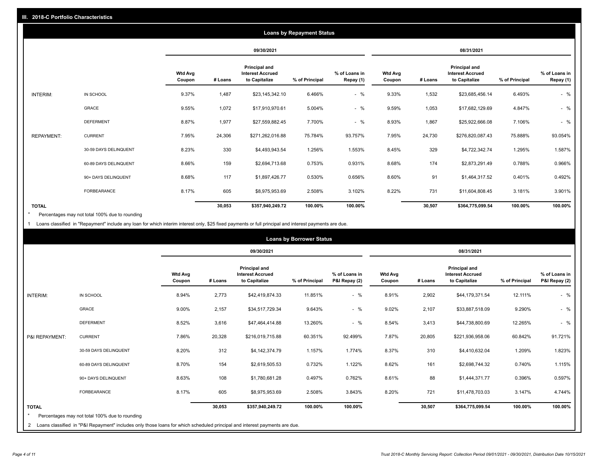|                   | <b>Loans by Repayment Status</b> |                          |            |                                                           |                |                            |                          |         |                                                           |                |                            |
|-------------------|----------------------------------|--------------------------|------------|-----------------------------------------------------------|----------------|----------------------------|--------------------------|---------|-----------------------------------------------------------|----------------|----------------------------|
|                   |                                  |                          | 09/30/2021 |                                                           |                | 08/31/2021                 |                          |         |                                                           |                |                            |
|                   |                                  | <b>Wtd Avg</b><br>Coupon | # Loans    | Principal and<br><b>Interest Accrued</b><br>to Capitalize | % of Principal | % of Loans in<br>Repay (1) | <b>Wtd Avg</b><br>Coupon | # Loans | Principal and<br><b>Interest Accrued</b><br>to Capitalize | % of Principal | % of Loans in<br>Repay (1) |
| INTERIM:          | IN SCHOOL                        | 9.37%                    | 1,487      | \$23,145,342.10                                           | 6.466%         | $-$ %                      | 9.33%                    | 1,532   | \$23,685,456.14                                           | 6.493%         | $-$ %                      |
|                   | GRACE                            | 9.55%                    | 1,072      | \$17,910,970.61                                           | 5.004%         | $-$ %                      | 9.59%                    | 1,053   | \$17,682,129.69                                           | 4.847%         | $-$ %                      |
|                   | <b>DEFERMENT</b>                 | 8.87%                    | 1,977      | \$27,559,882.45                                           | 7.700%         | $-$ %                      | 8.93%                    | 1,867   | \$25,922,666.08                                           | 7.106%         | $-$ %                      |
| <b>REPAYMENT:</b> | <b>CURRENT</b>                   | 7.95%                    | 24,306     | \$271,262,016.88                                          | 75.784%        | 93.757%                    | 7.95%                    | 24,730  | \$276,820,087.43                                          | 75.888%        | 93.054%                    |
|                   | 30-59 DAYS DELINQUENT            | 8.23%                    | 330        | \$4,493,943.54                                            | 1.256%         | 1.553%                     | 8.45%                    | 329     | \$4,722,342.74                                            | 1.295%         | 1.587%                     |
|                   | 60-89 DAYS DELINQUENT            | 8.66%                    | 159        | \$2,694,713.68                                            | 0.753%         | 0.931%                     | 8.68%                    | 174     | \$2,873,291.49                                            | 0.788%         | 0.966%                     |
|                   | 90+ DAYS DELINQUENT              | 8.68%                    | 117        | \$1,897,426.77                                            | 0.530%         | 0.656%                     | 8.60%                    | 91      | \$1,464,317.52                                            | 0.401%         | 0.492%                     |
|                   | FORBEARANCE                      | 8.17%                    | 605        | \$8,975,953.69                                            | 2.508%         | 3.102%                     | 8.22%                    | 731     | \$11,604,808.45                                           | 3.181%         | 3.901%                     |
| <b>TOTAL</b>      |                                  |                          | 30,053     | \$357,940,249.72                                          | 100.00%        | 100.00%                    |                          | 30,507  | \$364,775,099.54                                          | 100.00%        | 100.00%                    |

Percentages may not total 100% due to rounding \*

1 Loans classified in "Repayment" include any loan for which interim interest only, \$25 fixed payments or full principal and interest payments are due.

|                         |                                                                                                                              |                          | <b>Loans by Borrower Status</b> |                                                           |                |                                |                          |         |                                                           |                |                                |
|-------------------------|------------------------------------------------------------------------------------------------------------------------------|--------------------------|---------------------------------|-----------------------------------------------------------|----------------|--------------------------------|--------------------------|---------|-----------------------------------------------------------|----------------|--------------------------------|
|                         |                                                                                                                              |                          | 09/30/2021                      |                                                           |                | 08/31/2021                     |                          |         |                                                           |                |                                |
|                         |                                                                                                                              | <b>Wtd Avg</b><br>Coupon | # Loans                         | Principal and<br><b>Interest Accrued</b><br>to Capitalize | % of Principal | % of Loans in<br>P&I Repay (2) | <b>Wtd Avg</b><br>Coupon | # Loans | Principal and<br><b>Interest Accrued</b><br>to Capitalize | % of Principal | % of Loans in<br>P&I Repay (2) |
| <b>INTERIM:</b>         | IN SCHOOL                                                                                                                    | 8.94%                    | 2,773                           | \$42,419,874.33                                           | 11.851%        | $-$ %                          | 8.91%                    | 2,902   | \$44,179,371.54                                           | 12.111%        | $-$ %                          |
|                         | <b>GRACE</b>                                                                                                                 | 9.00%                    | 2,157                           | \$34,517,729.34                                           | 9.643%         | $-$ %                          | 9.02%                    | 2,107   | \$33,887,518.09                                           | 9.290%         | $-$ %                          |
|                         | <b>DEFERMENT</b>                                                                                                             | 8.52%                    | 3,616                           | \$47,464,414.88                                           | 13.260%        | $-$ %                          | 8.54%                    | 3,413   | \$44,738,800.69                                           | 12.265%        | $-$ %                          |
| P&I REPAYMENT:          | <b>CURRENT</b>                                                                                                               | 7.86%                    | 20,328                          | \$216,019,715.88                                          | 60.351%        | 92.499%                        | 7.87%                    | 20,805  | \$221,936,958.06                                          | 60.842%        | 91.721%                        |
|                         | 30-59 DAYS DELINQUENT                                                                                                        | 8.20%                    | 312                             | \$4,142,374.79                                            | 1.157%         | 1.774%                         | 8.37%                    | 310     | \$4,410,632.04                                            | 1.209%         | 1.823%                         |
|                         | 60-89 DAYS DELINQUENT                                                                                                        | 8.70%                    | 154                             | \$2,619,505.53                                            | 0.732%         | 1.122%                         | 8.62%                    | 161     | \$2,698,744.32                                            | 0.740%         | 1.115%                         |
|                         | 90+ DAYS DELINQUENT                                                                                                          | 8.63%                    | 108                             | \$1,780,681.28                                            | 0.497%         | 0.762%                         | 8.61%                    | 88      | \$1,444,371.77                                            | 0.396%         | 0.597%                         |
|                         | <b>FORBEARANCE</b>                                                                                                           | 8.17%                    | 605                             | \$8,975,953.69                                            | 2.508%         | 3.843%                         | 8.20%                    | 721     | \$11,478,703.03                                           | 3.147%         | 4.744%                         |
| <b>TOTAL</b><br>$\star$ | Percentages may not total 100% due to rounding                                                                               |                          | 30,053                          | \$357,940,249.72                                          | 100.00%        | 100.00%                        |                          | 30,507  | \$364,775,099.54                                          | 100.00%        | 100.00%                        |
|                         | 2 Loans classified in "P&I Repayment" includes only those loans for which scheduled principal and interest payments are due. |                          |                                 |                                                           |                |                                |                          |         |                                                           |                |                                |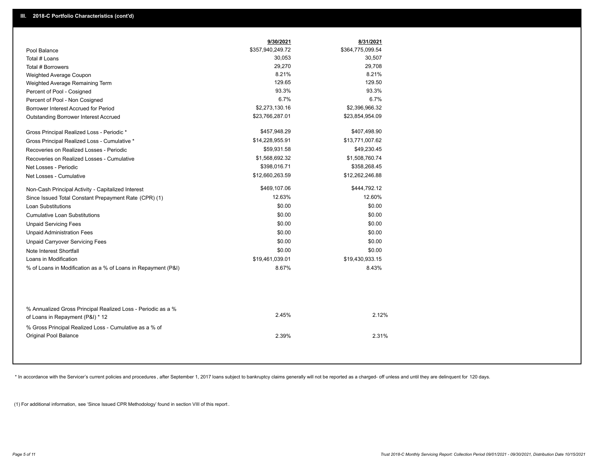|                                                                                                  | 9/30/2021        | 8/31/2021        |
|--------------------------------------------------------------------------------------------------|------------------|------------------|
| Pool Balance                                                                                     | \$357,940,249.72 | \$364,775,099.54 |
| Total # Loans                                                                                    | 30,053           | 30,507           |
| Total # Borrowers                                                                                | 29,270           | 29,708           |
| Weighted Average Coupon                                                                          | 8.21%            | 8.21%            |
| Weighted Average Remaining Term                                                                  | 129.65           | 129.50           |
| Percent of Pool - Cosigned                                                                       | 93.3%            | 93.3%            |
| Percent of Pool - Non Cosigned                                                                   | 6.7%             | 6.7%             |
| Borrower Interest Accrued for Period                                                             | \$2,273,130.16   | \$2,396,966.32   |
| Outstanding Borrower Interest Accrued                                                            | \$23,766,287.01  | \$23,854,954.09  |
| Gross Principal Realized Loss - Periodic *                                                       | \$457,948.29     | \$407,498.90     |
| Gross Principal Realized Loss - Cumulative *                                                     | \$14,228,955.91  | \$13,771,007.62  |
| Recoveries on Realized Losses - Periodic                                                         | \$59,931.58      | \$49,230.45      |
| Recoveries on Realized Losses - Cumulative                                                       | \$1,568,692.32   | \$1,508,760.74   |
| Net Losses - Periodic                                                                            | \$398,016.71     | \$358,268.45     |
| Net Losses - Cumulative                                                                          | \$12,660,263.59  | \$12,262,246.88  |
| Non-Cash Principal Activity - Capitalized Interest                                               | \$469,107.06     | \$444,792.12     |
| Since Issued Total Constant Prepayment Rate (CPR) (1)                                            | 12.63%           | 12.60%           |
| <b>Loan Substitutions</b>                                                                        | \$0.00           | \$0.00           |
| <b>Cumulative Loan Substitutions</b>                                                             | \$0.00           | \$0.00           |
| <b>Unpaid Servicing Fees</b>                                                                     | \$0.00           | \$0.00           |
| <b>Unpaid Administration Fees</b>                                                                | \$0.00           | \$0.00           |
| <b>Unpaid Carryover Servicing Fees</b>                                                           | \$0.00           | \$0.00           |
| Note Interest Shortfall                                                                          | \$0.00           | \$0.00           |
| Loans in Modification                                                                            | \$19,461,039.01  | \$19,430,933.15  |
| % of Loans in Modification as a % of Loans in Repayment (P&I)                                    | 8.67%            | 8.43%            |
|                                                                                                  |                  |                  |
| % Annualized Gross Principal Realized Loss - Periodic as a %<br>of Loans in Repayment (P&I) * 12 | 2.45%            | 2.12%            |
| % Gross Principal Realized Loss - Cumulative as a % of<br>Original Pool Balance                  | 2.39%            | 2.31%            |
|                                                                                                  |                  |                  |

\* In accordance with the Servicer's current policies and procedures, after September 1, 2017 loans subject to bankruptcy claims generally will not be reported as a charged- off unless and until they are delinquent for 120

(1) For additional information, see 'Since Issued CPR Methodology' found in section VIII of this report .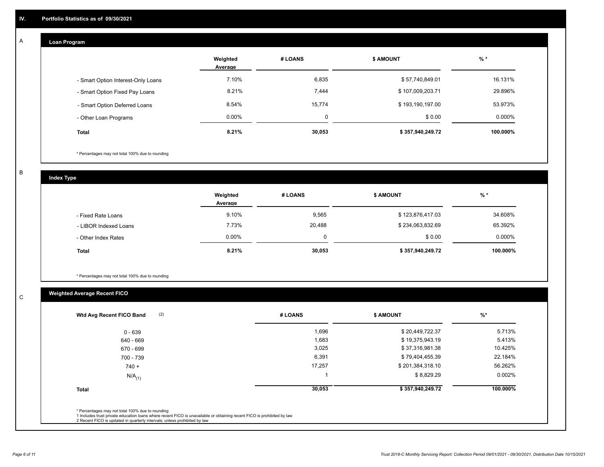#### **Loan Program**  A

|                                    | Weighted<br>Average | # LOANS | <b>\$ AMOUNT</b> | $%$ *     |
|------------------------------------|---------------------|---------|------------------|-----------|
| - Smart Option Interest-Only Loans | 7.10%               | 6,835   | \$57,740,849.01  | 16.131%   |
| - Smart Option Fixed Pay Loans     | 8.21%               | 7,444   | \$107,009,203.71 | 29.896%   |
| - Smart Option Deferred Loans      | 8.54%               | 15,774  | \$193,190,197.00 | 53.973%   |
| - Other Loan Programs              | $0.00\%$            | Ω       | \$0.00           | $0.000\%$ |
| <b>Total</b>                       | 8.21%               | 30,053  | \$357,940,249.72 | 100.000%  |

\* Percentages may not total 100% due to rounding

B

C

**Index Type**

|                       | Weighted<br>Average | # LOANS | <b>\$ AMOUNT</b> | % *       |
|-----------------------|---------------------|---------|------------------|-----------|
| - Fixed Rate Loans    | 9.10%               | 9,565   | \$123,876,417.03 | 34.608%   |
| - LIBOR Indexed Loans | 7.73%               | 20,488  | \$234,063,832.69 | 65.392%   |
| - Other Index Rates   | $0.00\%$            | 0       | \$0.00           | $0.000\%$ |
| <b>Total</b>          | 8.21%               | 30,053  | \$357,940,249.72 | 100.000%  |

\* Percentages may not total 100% due to rounding

# **Weighted Average Recent FICO**

| 1,696<br>1,683<br>3,025<br>6,391 | \$20,449,722.37<br>\$19,375,943.19<br>\$37,316,981.38 | 5.713%<br>5.413%<br>10.425% |
|----------------------------------|-------------------------------------------------------|-----------------------------|
|                                  |                                                       |                             |
|                                  |                                                       |                             |
|                                  |                                                       |                             |
|                                  | \$79,404,455.39                                       | 22.184%                     |
| 17,257                           | \$201,384,318.10                                      | 56.262%                     |
|                                  | \$8,829.29                                            | 0.002%                      |
| 30,053                           | \$357,940,249.72                                      | 100.000%                    |
|                                  |                                                       |                             |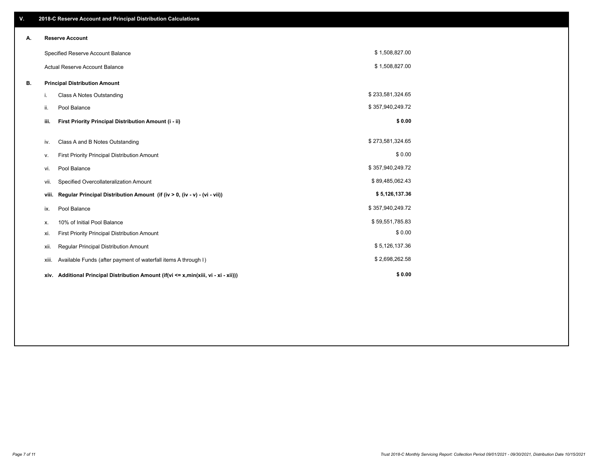| V. |                        | 2018-C Reserve Account and Principal Distribution Calculations                       |                  |  |  |  |  |  |  |
|----|------------------------|--------------------------------------------------------------------------------------|------------------|--|--|--|--|--|--|
| А. | <b>Reserve Account</b> |                                                                                      |                  |  |  |  |  |  |  |
|    |                        | Specified Reserve Account Balance                                                    | \$1,508,827.00   |  |  |  |  |  |  |
|    |                        | Actual Reserve Account Balance                                                       | \$1,508,827.00   |  |  |  |  |  |  |
| В. |                        | <b>Principal Distribution Amount</b>                                                 |                  |  |  |  |  |  |  |
|    | i.                     | Class A Notes Outstanding                                                            | \$233,581,324.65 |  |  |  |  |  |  |
|    | ii.                    | Pool Balance                                                                         | \$357,940,249.72 |  |  |  |  |  |  |
|    | iii.                   | First Priority Principal Distribution Amount (i - ii)                                | \$0.00           |  |  |  |  |  |  |
|    | iv.                    | Class A and B Notes Outstanding                                                      | \$273,581,324.65 |  |  |  |  |  |  |
|    |                        | First Priority Principal Distribution Amount                                         | \$0.00           |  |  |  |  |  |  |
|    | v.                     |                                                                                      | \$357,940,249.72 |  |  |  |  |  |  |
|    | vi.                    | Pool Balance                                                                         |                  |  |  |  |  |  |  |
|    | vii.                   | Specified Overcollateralization Amount                                               | \$89,485,062.43  |  |  |  |  |  |  |
|    | viii.                  | Regular Principal Distribution Amount (if (iv > 0, (iv - v) - (vi - vii))            | \$5,126,137.36   |  |  |  |  |  |  |
|    | ix.                    | Pool Balance                                                                         | \$357,940,249.72 |  |  |  |  |  |  |
|    | х.                     | 10% of Initial Pool Balance                                                          | \$59,551,785.83  |  |  |  |  |  |  |
|    | xi.                    | First Priority Principal Distribution Amount                                         | \$0.00           |  |  |  |  |  |  |
|    | xii.                   | Regular Principal Distribution Amount                                                | \$5,126,137.36   |  |  |  |  |  |  |
|    | xiii.                  | Available Funds (after payment of waterfall items A through I)                       | \$2,698,262.58   |  |  |  |  |  |  |
|    |                        | xiv. Additional Principal Distribution Amount (if(vi <= x,min(xiii, vi - xi - xii))) | \$0.00           |  |  |  |  |  |  |
|    |                        |                                                                                      |                  |  |  |  |  |  |  |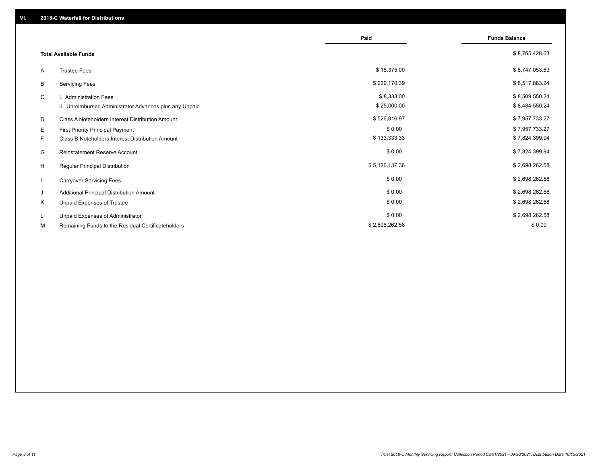|    |                                                         | Paid           | <b>Funds Balance</b> |
|----|---------------------------------------------------------|----------------|----------------------|
|    | <b>Total Available Funds</b>                            |                | \$8,765,428.63       |
| A  | <b>Trustee Fees</b>                                     | \$18,375.00    | \$8,747,053.63       |
| B  | <b>Servicing Fees</b>                                   | \$229,170.39   | \$8,517,883.24       |
| C  | i. Administration Fees                                  | \$8,333.00     | \$8,509,550.24       |
|    | ii. Unreimbursed Administrator Advances plus any Unpaid | \$25,000.00    | \$8,484,550.24       |
| D  | Class A Noteholders Interest Distribution Amount        | \$526,816.97   | \$7,957,733.27       |
| E  | <b>First Priority Principal Payment</b>                 | \$0.00         | \$7,957,733.27       |
| F. | Class B Noteholders Interest Distribution Amount        | \$133,333.33   | \$7,824,399.94       |
| G  | <b>Reinstatement Reserve Account</b>                    | \$0.00         | \$7,824,399.94       |
| H  | Regular Principal Distribution                          | \$5,126,137.36 | \$2,698,262.58       |
|    | <b>Carryover Servicing Fees</b>                         | \$0.00         | \$2,698,262.58       |
| J  | Additional Principal Distribution Amount                | \$0.00         | \$2,698,262.58       |
| Κ  | Unpaid Expenses of Trustee                              | \$0.00         | \$2,698,262.58       |
| L. | Unpaid Expenses of Administrator                        | \$0.00         | \$2,698,262.58       |
| М  | Remaining Funds to the Residual Certificateholders      | \$2,698,262.58 | \$0.00               |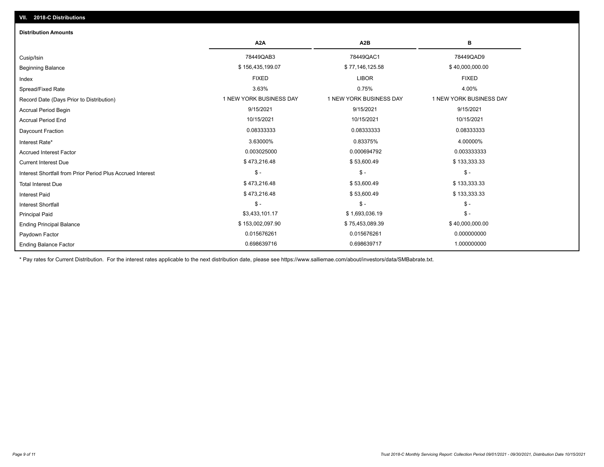| <b>Distribution Amounts</b>                                |                         |                         |                         |
|------------------------------------------------------------|-------------------------|-------------------------|-------------------------|
|                                                            | A <sub>2</sub> A        | A <sub>2</sub> B        | в                       |
| Cusip/Isin                                                 | 78449QAB3               | 78449QAC1               | 78449QAD9               |
| <b>Beginning Balance</b>                                   | \$156,435,199.07        | \$77,146,125.58         | \$40,000,000.00         |
| Index                                                      | <b>FIXED</b>            | <b>LIBOR</b>            | <b>FIXED</b>            |
| Spread/Fixed Rate                                          | 3.63%                   | 0.75%                   | 4.00%                   |
| Record Date (Days Prior to Distribution)                   | 1 NEW YORK BUSINESS DAY | 1 NEW YORK BUSINESS DAY | 1 NEW YORK BUSINESS DAY |
| <b>Accrual Period Begin</b>                                | 9/15/2021               | 9/15/2021               | 9/15/2021               |
| <b>Accrual Period End</b>                                  | 10/15/2021              | 10/15/2021              | 10/15/2021              |
| Daycount Fraction                                          | 0.08333333              | 0.08333333              | 0.08333333              |
| Interest Rate*                                             | 3.63000%                | 0.83375%                | 4.00000%                |
| <b>Accrued Interest Factor</b>                             | 0.003025000             | 0.000694792             | 0.003333333             |
| <b>Current Interest Due</b>                                | \$473,216.48            | \$53,600.49             | \$133,333.33            |
| Interest Shortfall from Prior Period Plus Accrued Interest | $\mathcal{S}$ -         | $\frac{1}{2}$           | $\mathbb{S}$ -          |
| <b>Total Interest Due</b>                                  | \$473,216.48            | \$53,600.49             | \$133,333.33            |
| <b>Interest Paid</b>                                       | \$473,216.48            | \$53,600.49             | \$133,333.33            |
| <b>Interest Shortfall</b>                                  | $\mathsf{\$}$ -         | $$ -$                   | $\mathsf{\$}$ -         |
| <b>Principal Paid</b>                                      | \$3,433,101.17          | \$1,693,036.19          | $\mathsf{\$}$ -         |
| <b>Ending Principal Balance</b>                            | \$153,002,097.90        | \$75,453,089.39         | \$40,000,000.00         |
| Paydown Factor                                             | 0.015676261             | 0.015676261             | 0.000000000             |
| <b>Ending Balance Factor</b>                               | 0.698639716             | 0.698639717             | 1.000000000             |

\* Pay rates for Current Distribution. For the interest rates applicable to the next distribution date, please see https://www.salliemae.com/about/investors/data/SMBabrate.txt.

**VII. 2018-C Distributions**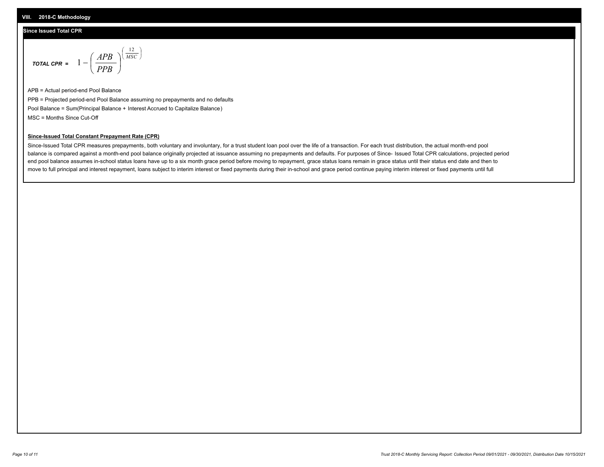## **Since Issued Total CPR**

$$
\text{total cPR} = 1 - \left(\frac{APB}{PPB}\right)^{\left(\frac{12}{MSC}\right)}
$$

APB = Actual period-end Pool Balance PPB = Projected period-end Pool Balance assuming no prepayments and no defaults Pool Balance = Sum(Principal Balance + Interest Accrued to Capitalize Balance) MSC = Months Since Cut-Off

I J Ι

### **Since-Issued Total Constant Prepayment Rate (CPR)**

Since-Issued Total CPR measures prepayments, both voluntary and involuntary, for a trust student loan pool over the life of a transaction. For each trust distribution, the actual month-end pool balance is compared against a month-end pool balance originally projected at issuance assuming no prepayments and defaults. For purposes of Since- Issued Total CPR calculations, projected period end pool balance assumes in-school status loans have up to a six month grace period before moving to repayment, grace status loans remain in grace status until their status end date and then to move to full principal and interest repayment, loans subject to interim interest or fixed payments during their in-school and grace period continue paying interim interest or fixed payments until full